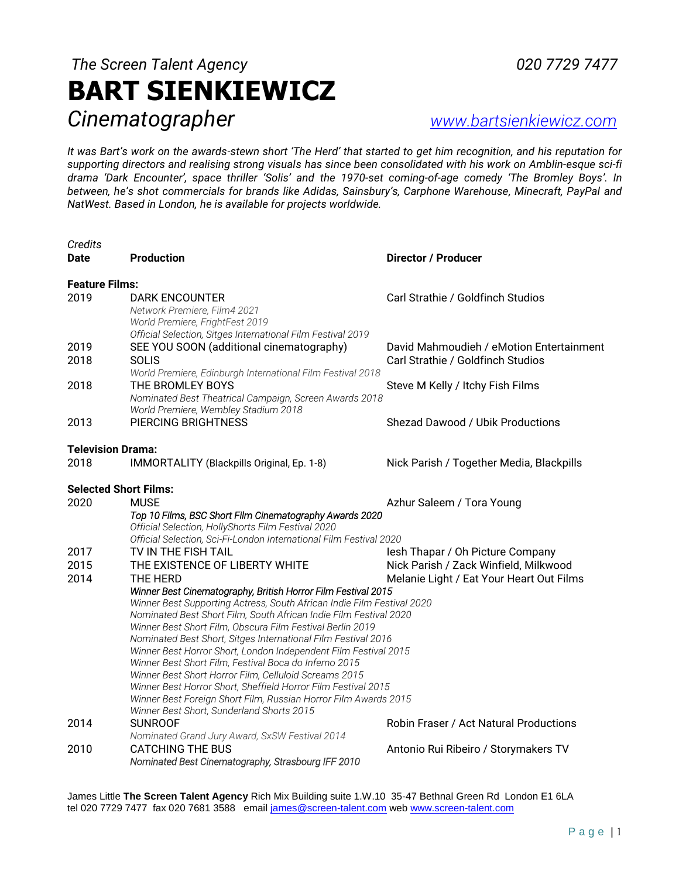# *The Screen Talent Agency 020 7729 7477* **BART SIENKIEWICZ** *Cinematographer [www.bartsienkiewicz.com](http://www.bartsienkiewicz.com/)*

*It was Bart's work on the awards-stewn short 'The Herd' that started to get him recognition, and his reputation for supporting directors and realising strong visuals has since been consolidated with his work on Amblin-esque sci-fi drama 'Dark Encounter', space thriller 'Solis' and the 1970-set coming-of-age comedy 'The Bromley Boys'. In between, he's shot commercials for brands like Adidas, Sainsbury's, Carphone Warehouse, Minecraft, PayPal and NatWest. Based in London, he is available for projects worldwide.*

| Credits<br><b>Date</b>           | <b>Production</b>                                                                                                                                                                                  | <b>Director / Producer</b>                                                    |  |  |
|----------------------------------|----------------------------------------------------------------------------------------------------------------------------------------------------------------------------------------------------|-------------------------------------------------------------------------------|--|--|
| <b>Feature Films:</b>            |                                                                                                                                                                                                    |                                                                               |  |  |
| 2019                             | <b>DARK ENCOUNTER</b><br>Network Premiere, Film4 2021<br>World Premiere, FrightFest 2019<br>Official Selection, Sitges International Film Festival 2019                                            | Carl Strathie / Goldfinch Studios                                             |  |  |
| 2019<br>2018                     | SEE YOU SOON (additional cinematography)<br><b>SOLIS</b><br>World Premiere, Edinburgh International Film Festival 2018                                                                             | David Mahmoudieh / eMotion Entertainment<br>Carl Strathie / Goldfinch Studios |  |  |
| 2018                             | THE BROMLEY BOYS<br>Nominated Best Theatrical Campaign, Screen Awards 2018<br>World Premiere, Wembley Stadium 2018                                                                                 | Steve M Kelly / Itchy Fish Films                                              |  |  |
| 2013                             | <b>PIERCING BRIGHTNESS</b>                                                                                                                                                                         | Shezad Dawood / Ubik Productions                                              |  |  |
| <b>Television Drama:</b><br>2018 | IMMORTALITY (Blackpills Original, Ep. 1-8)                                                                                                                                                         | Nick Parish / Together Media, Blackpills                                      |  |  |
| <b>Selected Short Films:</b>     |                                                                                                                                                                                                    |                                                                               |  |  |
| 2020                             | <b>MUSE</b><br>Top 10 Films, BSC Short Film Cinematography Awards 2020<br>Official Selection, HollyShorts Film Festival 2020<br>Official Selection, Sci-Fi-London International Film Festival 2020 | Azhur Saleem / Tora Young                                                     |  |  |
| 2017                             | TV IN THE FISH TAIL                                                                                                                                                                                | lesh Thapar / Oh Picture Company                                              |  |  |
| 2015                             | THE EXISTENCE OF LIBERTY WHITE                                                                                                                                                                     | Nick Parish / Zack Winfield, Milkwood                                         |  |  |
| 2014                             | THE HERD                                                                                                                                                                                           | Melanie Light / Eat Your Heart Out Films                                      |  |  |
|                                  | Winner Best Cinematography, British Horror Film Festival 2015<br>Winner Best Supporting Actress, South African Indie Film Festival 2020                                                            |                                                                               |  |  |
|                                  | Nominated Best Short Film, South African Indie Film Festival 2020                                                                                                                                  |                                                                               |  |  |
|                                  | Winner Best Short Film, Obscura Film Festival Berlin 2019                                                                                                                                          |                                                                               |  |  |
|                                  | Nominated Best Short, Sitges International Film Festival 2016<br>Winner Best Horror Short, London Independent Film Festival 2015                                                                   |                                                                               |  |  |
|                                  | Winner Best Short Film, Festival Boca do Inferno 2015                                                                                                                                              |                                                                               |  |  |
|                                  | Winner Best Short Horror Film, Celluloid Screams 2015                                                                                                                                              |                                                                               |  |  |
|                                  | Winner Best Horror Short, Sheffield Horror Film Festival 2015<br>Winner Best Foreign Short Film, Russian Horror Film Awards 2015                                                                   |                                                                               |  |  |
|                                  | Winner Best Short, Sunderland Shorts 2015                                                                                                                                                          |                                                                               |  |  |
| 2014                             | <b>SUNROOF</b>                                                                                                                                                                                     | Robin Fraser / Act Natural Productions                                        |  |  |
|                                  | Nominated Grand Jury Award, SxSW Festival 2014                                                                                                                                                     |                                                                               |  |  |
| 2010                             | <b>CATCHING THE BUS</b><br>Nominated Best Cinematography, Strasbourg IFF 2010                                                                                                                      | Antonio Rui Ribeiro / Storymakers TV                                          |  |  |

James Little **The Screen Talent Agency** Rich Mix Building suite 1.W.10 35-47 Bethnal Green Rd London E1 6LA tel 020 7729 7477 fax 020 7681 3588 email [james@screen-talent.com](mailto:james@screen-talent.com) web [www.screen-talent.com](http://www.screen-talent.com/)